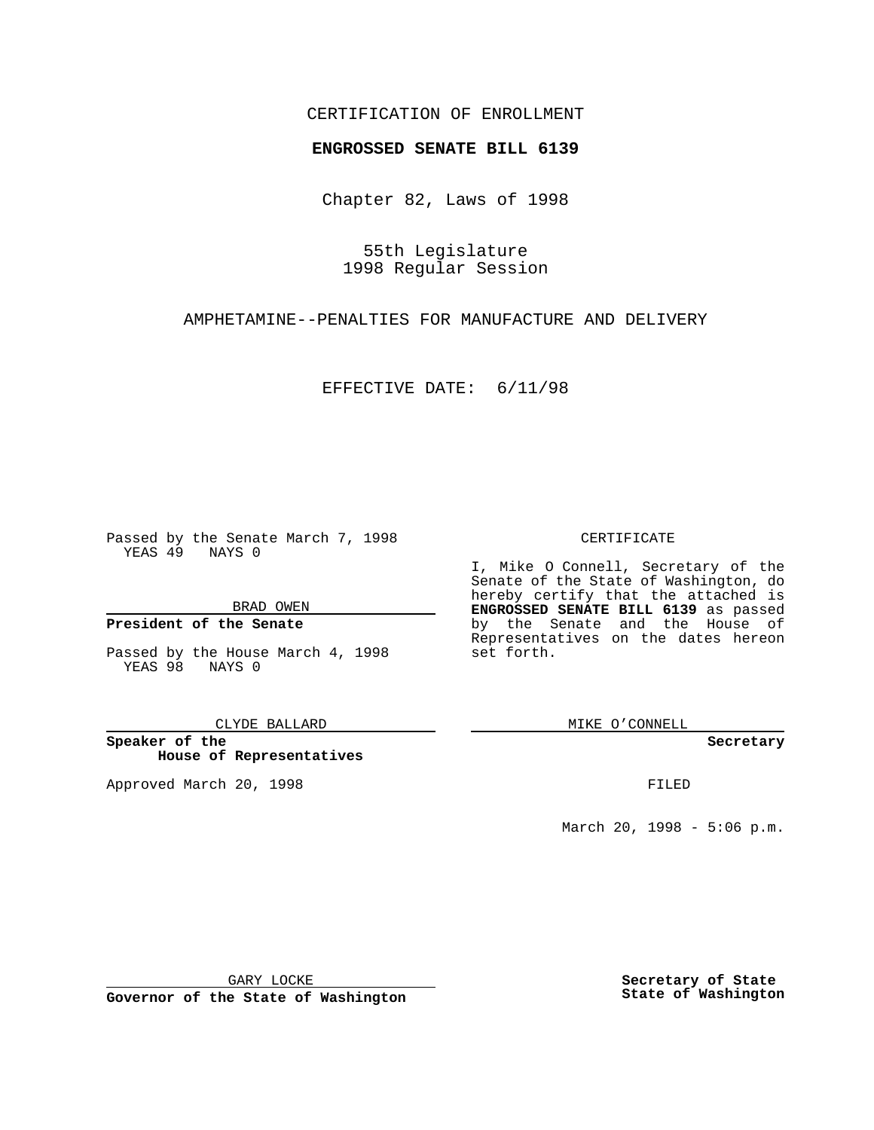## CERTIFICATION OF ENROLLMENT

# **ENGROSSED SENATE BILL 6139**

Chapter 82, Laws of 1998

55th Legislature 1998 Regular Session

AMPHETAMINE--PENALTIES FOR MANUFACTURE AND DELIVERY

EFFECTIVE DATE: 6/11/98

Passed by the Senate March 7, 1998 YEAS 49 NAYS 0

BRAD OWEN

### **President of the Senate**

Passed by the House March 4, 1998 YEAS 98 NAYS 0

CLYDE BALLARD

**Speaker of the House of Representatives**

Approved March 20, 1998 **FILED** 

#### CERTIFICATE

I, Mike O Connell, Secretary of the Senate of the State of Washington, do hereby certify that the attached is **ENGROSSED SENATE BILL 6139** as passed by the Senate and the House of Representatives on the dates hereon set forth.

MIKE O'CONNELL

**Secretary**

March 20, 1998 - 5:06 p.m.

GARY LOCKE

**Governor of the State of Washington**

**Secretary of State State of Washington**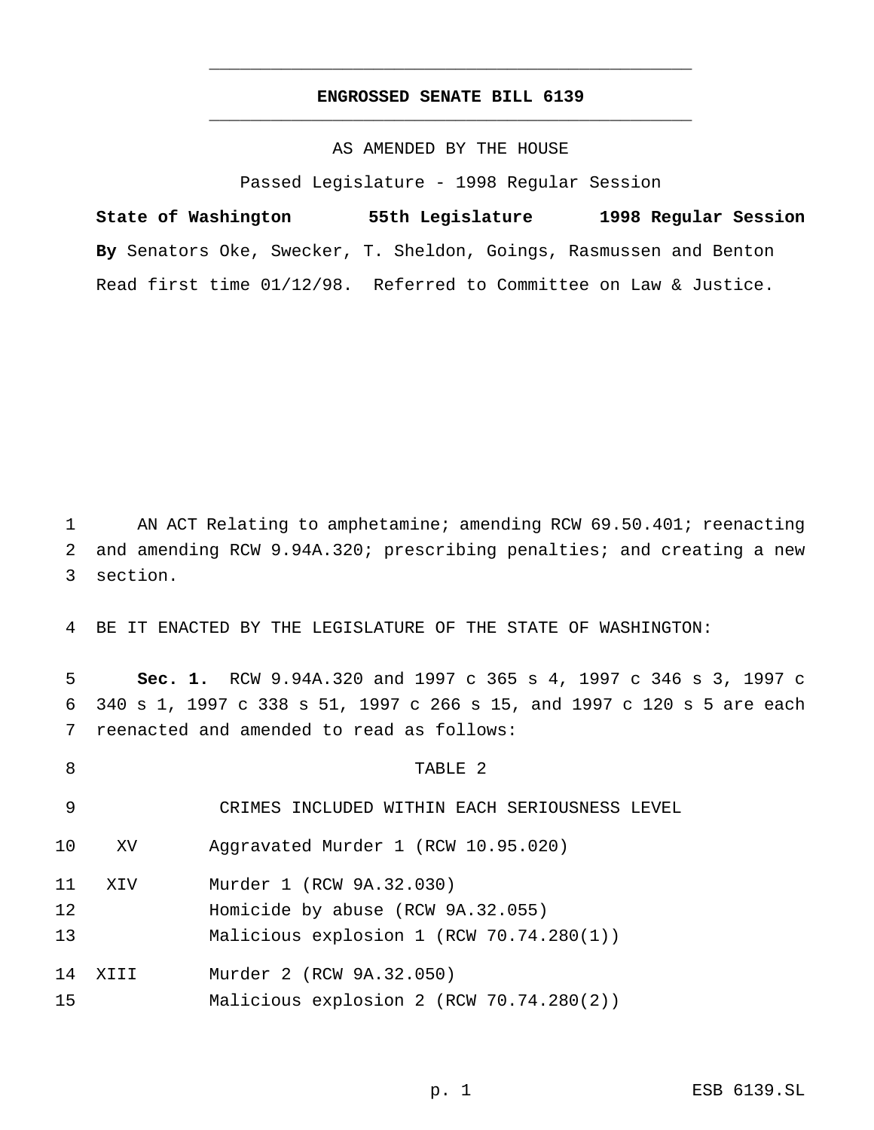# **ENGROSSED SENATE BILL 6139** \_\_\_\_\_\_\_\_\_\_\_\_\_\_\_\_\_\_\_\_\_\_\_\_\_\_\_\_\_\_\_\_\_\_\_\_\_\_\_\_\_\_\_\_\_\_\_

\_\_\_\_\_\_\_\_\_\_\_\_\_\_\_\_\_\_\_\_\_\_\_\_\_\_\_\_\_\_\_\_\_\_\_\_\_\_\_\_\_\_\_\_\_\_\_

## AS AMENDED BY THE HOUSE

Passed Legislature - 1998 Regular Session

**State of Washington 55th Legislature 1998 Regular Session By** Senators Oke, Swecker, T. Sheldon, Goings, Rasmussen and Benton Read first time 01/12/98. Referred to Committee on Law & Justice.

 AN ACT Relating to amphetamine; amending RCW 69.50.401; reenacting and amending RCW 9.94A.320; prescribing penalties; and creating a new section.

BE IT ENACTED BY THE LEGISLATURE OF THE STATE OF WASHINGTON:

 **Sec. 1.** RCW 9.94A.320 and 1997 c 365 s 4, 1997 c 346 s 3, 1997 c 340 s 1, 1997 c 338 s 51, 1997 c 266 s 15, and 1997 c 120 s 5 are each reenacted and amended to read as follows:

 TABLE 2 CRIMES INCLUDED WITHIN EACH SERIOUSNESS LEVEL XV Aggravated Murder 1 (RCW 10.95.020) XIV Murder 1 (RCW 9A.32.030) Homicide by abuse (RCW 9A.32.055) Malicious explosion 1 (RCW 70.74.280(1)) XIII Murder 2 (RCW 9A.32.050) Malicious explosion 2 (RCW 70.74.280(2))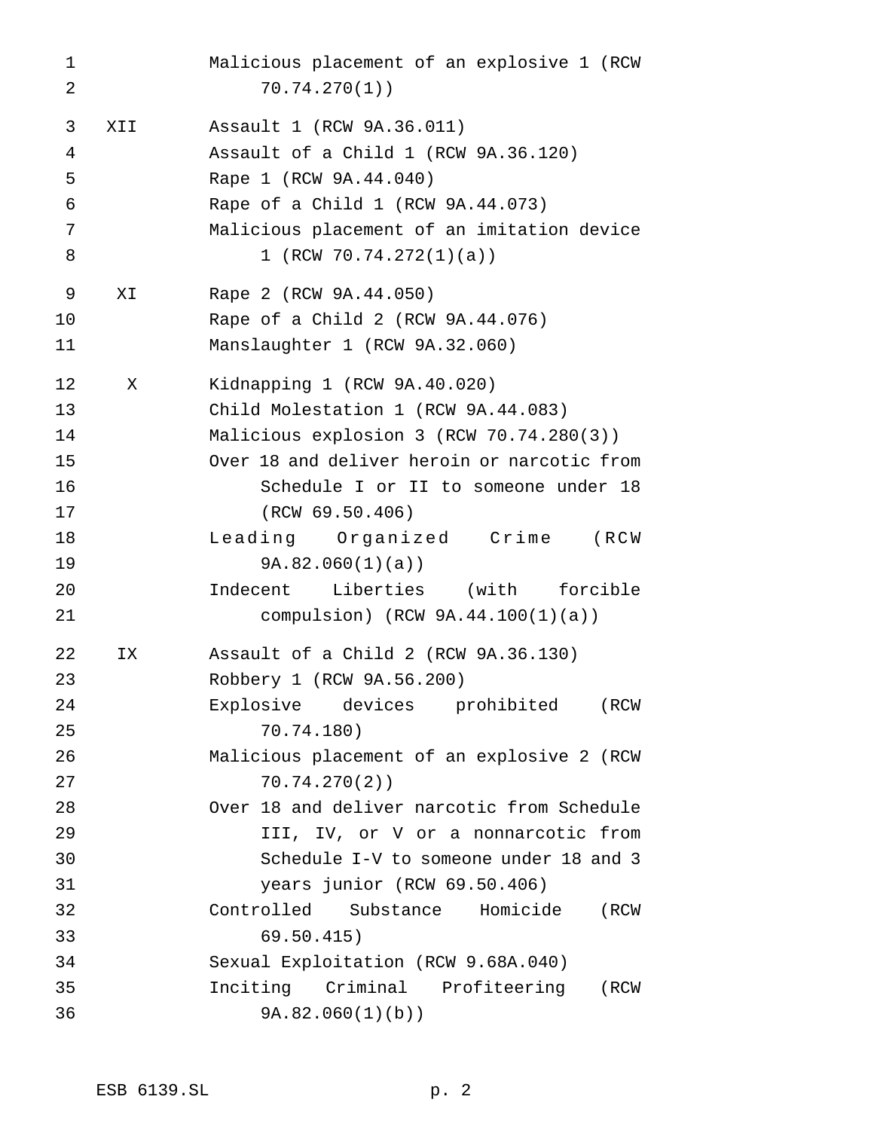Malicious placement of an explosive 1 (RCW 70.74.270(1)) XII Assault 1 (RCW 9A.36.011) Assault of a Child 1 (RCW 9A.36.120) Rape 1 (RCW 9A.44.040) Rape of a Child 1 (RCW 9A.44.073) Malicious placement of an imitation device 8 1 (RCW 70.74.272(1)(a)) XI Rape 2 (RCW 9A.44.050) Rape of a Child 2 (RCW 9A.44.076) Manslaughter 1 (RCW 9A.32.060) X Kidnapping 1 (RCW 9A.40.020) Child Molestation 1 (RCW 9A.44.083) Malicious explosion 3 (RCW 70.74.280(3)) Over 18 and deliver heroin or narcotic from Schedule I or II to someone under 18 (RCW 69.50.406) Leading Organized Crime (RCW 9A.82.060(1)(a)) Indecent Liberties (with forcible compulsion) (RCW 9A.44.100(1)(a)) IX Assault of a Child 2 (RCW 9A.36.130) Robbery 1 (RCW 9A.56.200) Explosive devices prohibited (RCW 70.74.180) Malicious placement of an explosive 2 (RCW 70.74.270(2)) Over 18 and deliver narcotic from Schedule III, IV, or V or a nonnarcotic from Schedule I-V to someone under 18 and 3 years junior (RCW 69.50.406) Controlled Substance Homicide (RCW 69.50.415) Sexual Exploitation (RCW 9.68A.040) Inciting Criminal Profiteering (RCW 9A.82.060(1)(b))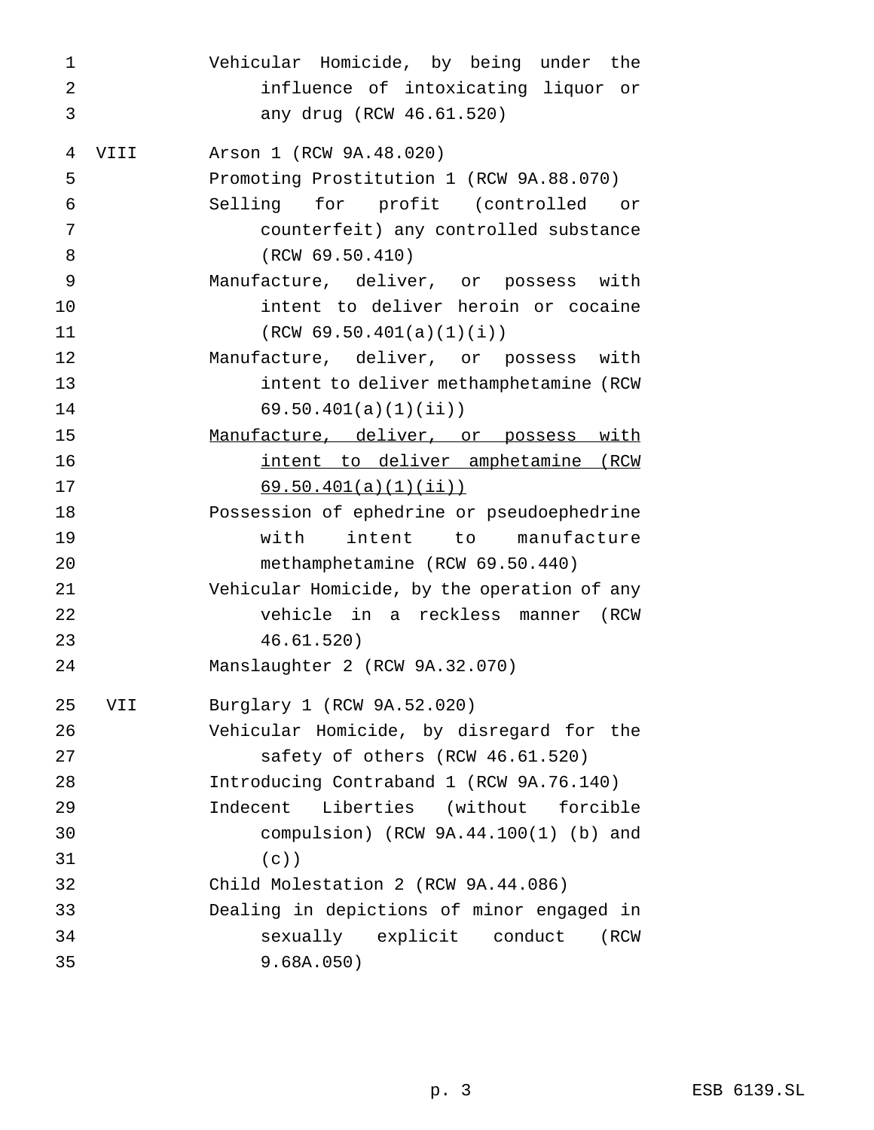| $\mathbf 1$ |      | Vehicular Homicide, by being under the      |
|-------------|------|---------------------------------------------|
| 2           |      | influence of intoxicating liquor or         |
| 3           |      | any drug (RCW 46.61.520)                    |
| 4           | VIII | Arson 1 (RCW 9A.48.020)                     |
| 5           |      | Promoting Prostitution 1 (RCW 9A.88.070)    |
| 6           |      | Selling for profit (controlled<br>or —      |
| 7           |      | counterfeit) any controlled substance       |
| 8           |      | (RCW 69.50.410)                             |
| 9           |      | Manufacture, deliver, or possess with       |
| 10          |      | intent to deliver heroin or cocaine         |
| 11          |      | (RCW 69.50.401(a)(1)(i))                    |
| 12          |      | Manufacture, deliver, or possess with       |
| 13          |      | intent to deliver methamphetamine (RCW      |
| 14          |      | 69.50.401(a)(1)(ii)                         |
| 15          |      | Manufacture, deliver, or possess with       |
| 16          |      | intent to deliver amphetamine (RCW          |
| 17          |      | 69.50.401(a)(1)(ii)                         |
| 18          |      | Possession of ephedrine or pseudoephedrine  |
| 19          |      | with<br>intent<br>to manufacture            |
| 20          |      | methamphetamine (RCW 69.50.440)             |
| 21          |      | Vehicular Homicide, by the operation of any |
| 22          |      | vehicle in a reckless manner<br>(RCW        |
| 23          |      | 46.61.520)                                  |
| 24          |      | Manslaughter 2 (RCW 9A.32.070)              |
| 25          | VII  | Burglary 1 (RCW 9A.52.020)                  |
| 26          |      | Vehicular Homicide, by disregard for the    |
| 27          |      | safety of others (RCW 46.61.520)            |
| 28          |      | Introducing Contraband 1 (RCW 9A.76.140)    |
| 29          |      | Liberties (without forcible<br>Indecent     |
| 30          |      | compulsion) (RCW $9A.44.100(1)$ (b) and     |
| 31          |      | $(c)$ )                                     |
| 32          |      | Child Molestation 2 (RCW 9A.44.086)         |
| 33          |      | Dealing in depictions of minor engaged in   |
| 34          |      | sexually explicit conduct<br>(RCW           |
| 35          |      | 9.68A.050)                                  |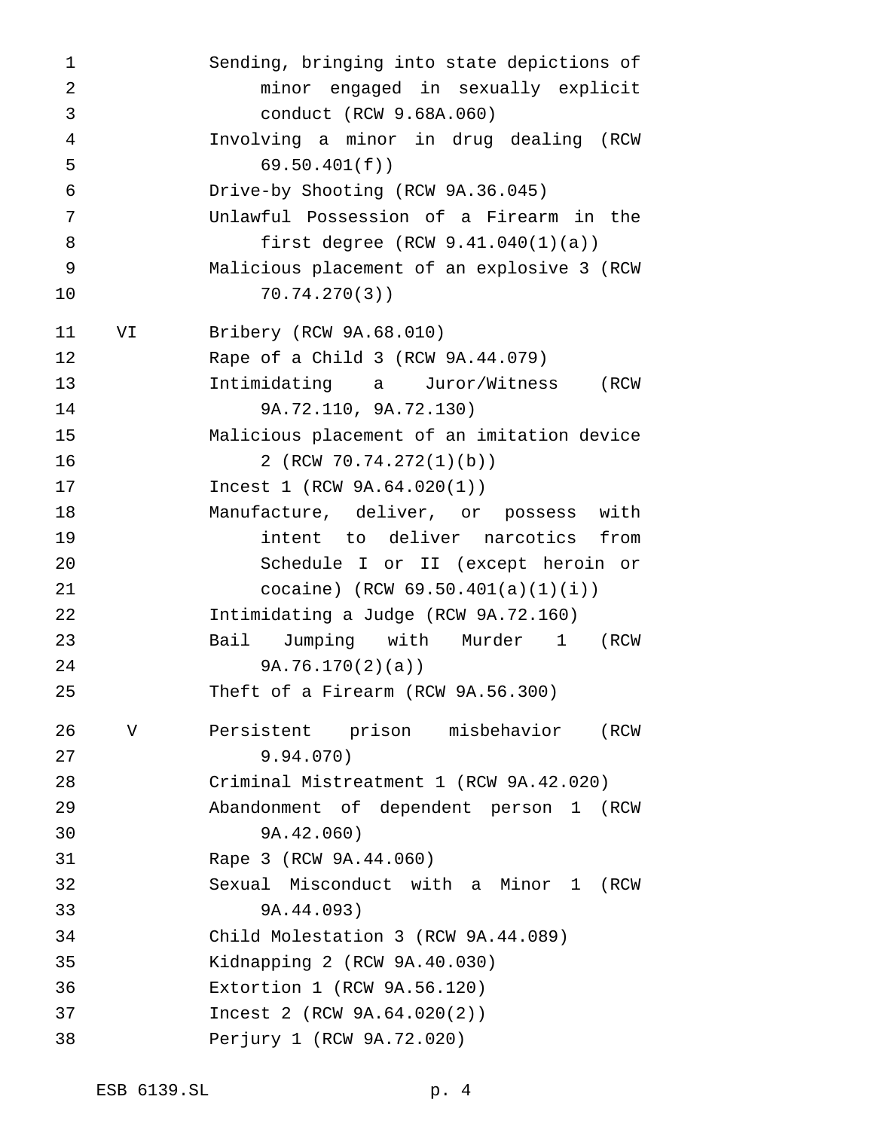Sending, bringing into state depictions of minor engaged in sexually explicit conduct (RCW 9.68A.060) Involving a minor in drug dealing (RCW 69.50.401(f)) Drive-by Shooting (RCW 9A.36.045) Unlawful Possession of a Firearm in the first degree (RCW 9.41.040(1)(a)) Malicious placement of an explosive 3 (RCW 70.74.270(3)) VI Bribery (RCW 9A.68.010) Rape of a Child 3 (RCW 9A.44.079) Intimidating a Juror/Witness (RCW 9A.72.110, 9A.72.130) Malicious placement of an imitation device 16 2 (RCW 70.74.272(1)(b)) Incest 1 (RCW 9A.64.020(1)) Manufacture, deliver, or possess with intent to deliver narcotics from Schedule I or II (except heroin or cocaine) (RCW 69.50.401(a)(1)(i)) Intimidating a Judge (RCW 9A.72.160) Bail Jumping with Murder 1 (RCW 9A.76.170(2)(a)) Theft of a Firearm (RCW 9A.56.300) V Persistent prison misbehavior (RCW 9.94.070) Criminal Mistreatment 1 (RCW 9A.42.020) Abandonment of dependent person 1 (RCW 9A.42.060) Rape 3 (RCW 9A.44.060) Sexual Misconduct with a Minor 1 (RCW 9A.44.093) Child Molestation 3 (RCW 9A.44.089) Kidnapping 2 (RCW 9A.40.030) Extortion 1 (RCW 9A.56.120) Incest 2 (RCW 9A.64.020(2)) Perjury 1 (RCW 9A.72.020)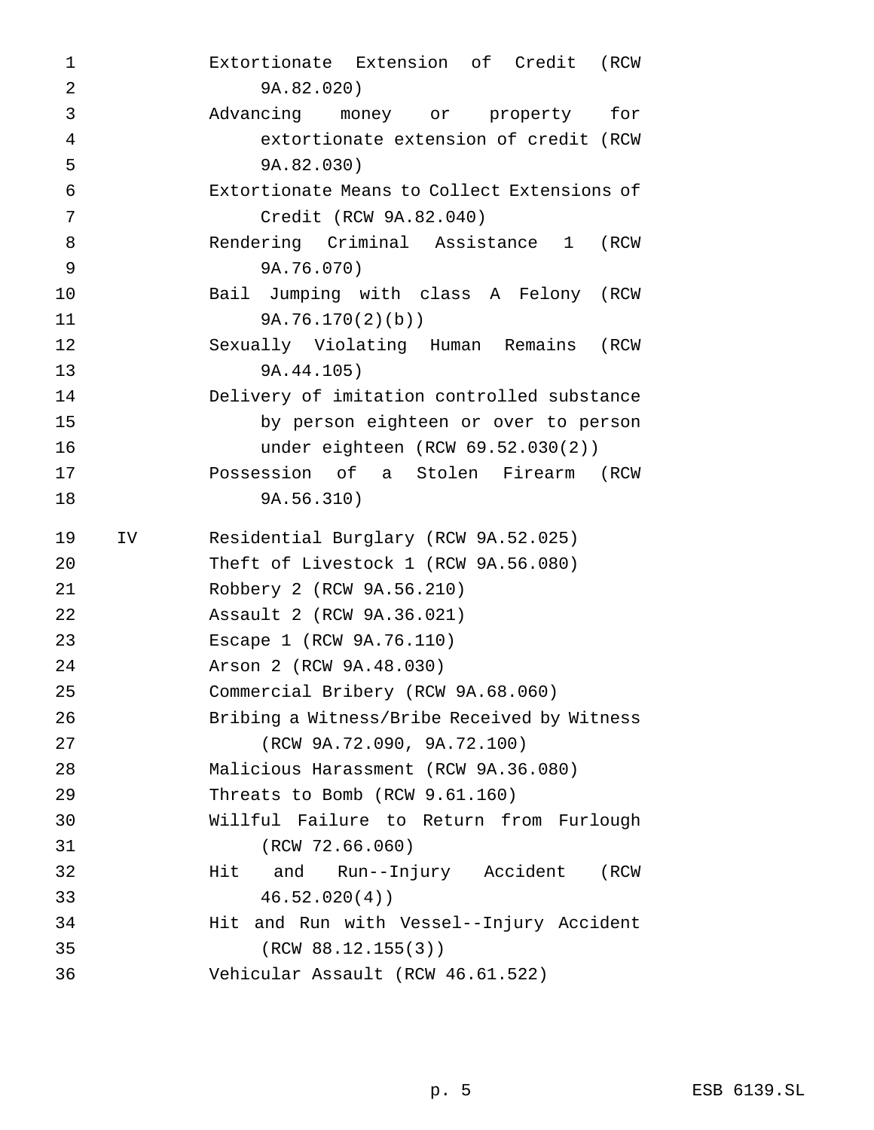| 1  |     | Extortionate Extension of Credit (RCW       |
|----|-----|---------------------------------------------|
| 2  |     | 9A.82.020)                                  |
| 3  |     | Advancing money or property<br>for          |
| 4  |     | extortionate extension of credit (RCW       |
| 5  |     | 9A.82.030)                                  |
| 6  |     | Extortionate Means to Collect Extensions of |
| 7  |     | Credit (RCW 9A.82.040)                      |
| 8  |     | Rendering Criminal Assistance 1<br>(RCW     |
| 9  |     | 9A.76.070)                                  |
| 10 |     | Bail Jumping with class A Felony (RCW       |
| 11 |     | 9A.76.170(2)(b)                             |
| 12 |     | Sexually Violating Human Remains<br>(RCW    |
| 13 |     | 9A.44.105)                                  |
| 14 |     | Delivery of imitation controlled substance  |
| 15 |     | by person eighteen or over to person        |
| 16 |     | under eighteen $(RCW 69.52.030(2))$         |
| 17 |     | Possession of a Stolen Firearm (RCW         |
| 18 |     | 9A.56.310)                                  |
| 19 | IV. | Residential Burglary (RCW 9A.52.025)        |
|    |     |                                             |
| 20 |     | Theft of Livestock 1 (RCW 9A.56.080)        |
| 21 |     | Robbery 2 (RCW 9A.56.210)                   |
| 22 |     | Assault 2 (RCW 9A.36.021)                   |
| 23 |     | Escape 1 (RCW 9A.76.110)                    |
| 24 |     | Arson 2 (RCW 9A.48.030)                     |
| 25 |     | Commercial Bribery (RCW 9A.68.060)          |
| 26 |     | Bribing a Witness/Bribe Received by Witness |
| 27 |     | (RCW 9A.72.090, 9A.72.100)                  |
| 28 |     | Malicious Harassment (RCW 9A.36.080)        |
| 29 |     | Threats to Bomb (RCW 9.61.160)              |
| 30 |     | Willful Failure to Return from Furlough     |
| 31 |     | (RCW 72.66.060)                             |
| 32 |     | and Run--Injury Accident<br>Hit<br>(RCW     |
| 33 |     | 46.52.020(4)                                |
| 34 |     | Hit and Run with Vessel--Injury Accident    |
| 35 |     | (RCW 88.12.155(3))                          |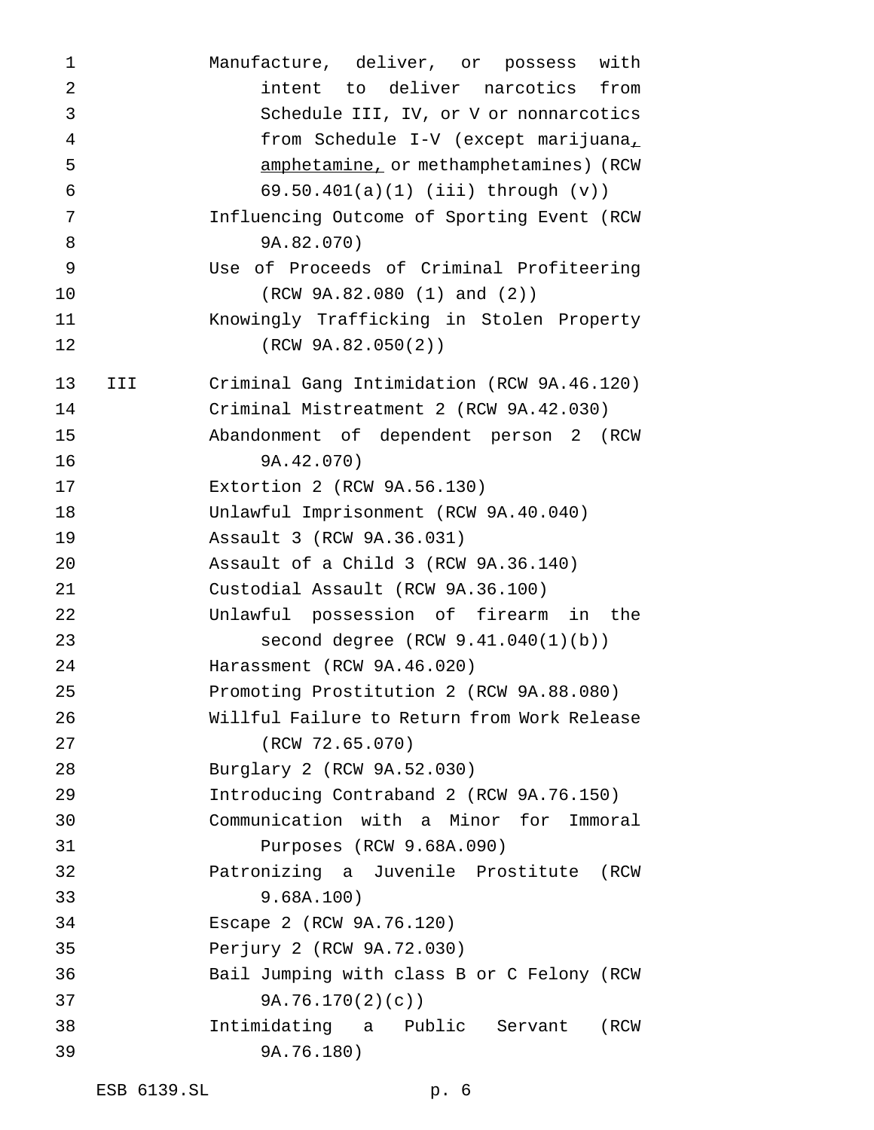Manufacture, deliver, or possess with intent to deliver narcotics from Schedule III, IV, or V or nonnarcotics from Schedule I-V (except marijuana, amphetamine, or methamphetamines) (RCW 69.50.401(a)(1) (iii) through (v)) Influencing Outcome of Sporting Event (RCW 9A.82.070) Use of Proceeds of Criminal Profiteering (RCW 9A.82.080 (1) and (2)) Knowingly Trafficking in Stolen Property (RCW 9A.82.050(2)) III Criminal Gang Intimidation (RCW 9A.46.120) Criminal Mistreatment 2 (RCW 9A.42.030) Abandonment of dependent person 2 (RCW 9A.42.070) Extortion 2 (RCW 9A.56.130) Unlawful Imprisonment (RCW 9A.40.040) Assault 3 (RCW 9A.36.031) Assault of a Child 3 (RCW 9A.36.140) Custodial Assault (RCW 9A.36.100) Unlawful possession of firearm in the second degree (RCW 9.41.040(1)(b)) Harassment (RCW 9A.46.020) Promoting Prostitution 2 (RCW 9A.88.080) Willful Failure to Return from Work Release (RCW 72.65.070) Burglary 2 (RCW 9A.52.030) Introducing Contraband 2 (RCW 9A.76.150) Communication with a Minor for Immoral Purposes (RCW 9.68A.090) Patronizing a Juvenile Prostitute (RCW 9.68A.100) Escape 2 (RCW 9A.76.120) Perjury 2 (RCW 9A.72.030) Bail Jumping with class B or C Felony (RCW 9A.76.170(2)(c)) Intimidating a Public Servant (RCW 9A.76.180)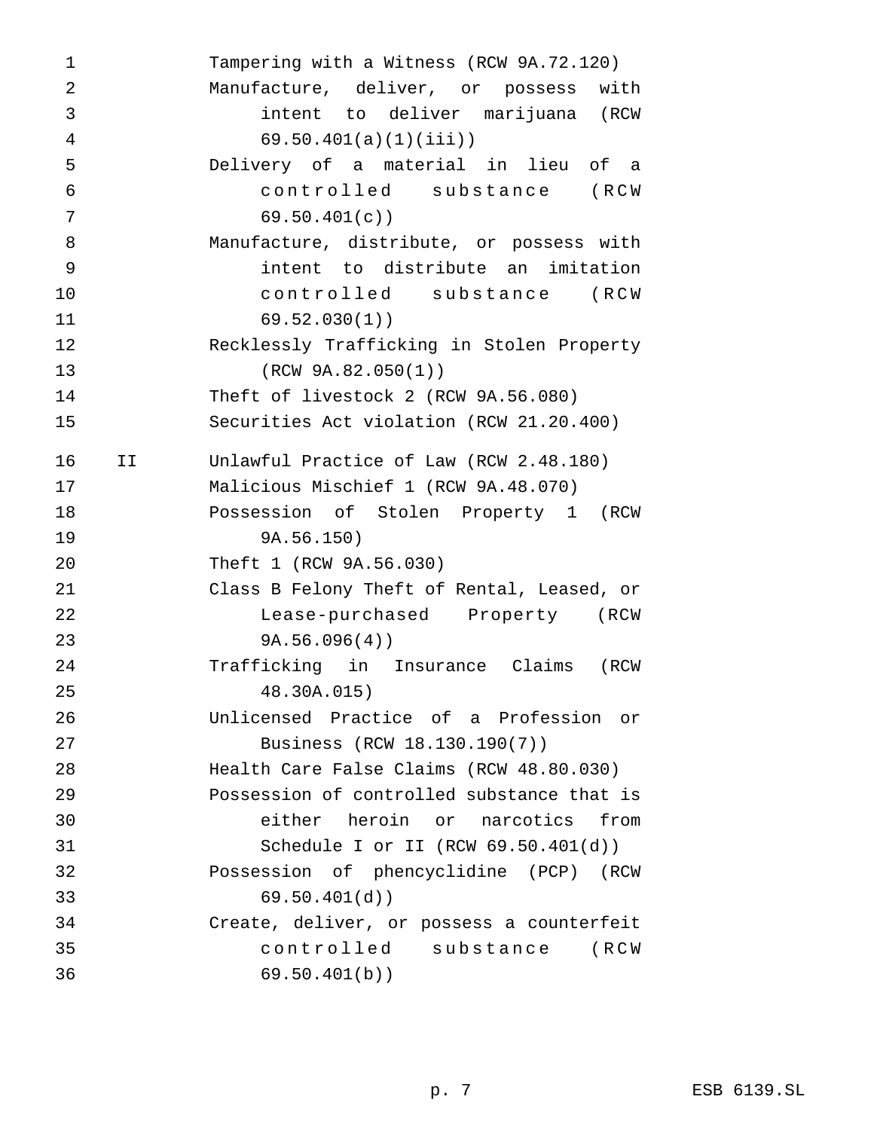| 1              |    | Tampering with a Witness (RCW 9A.72.120)   |
|----------------|----|--------------------------------------------|
| $\overline{2}$ |    | Manufacture, deliver, or possess with      |
| 3              |    | intent to deliver marijuana (RCW           |
| $\overline{4}$ |    | $69.50.401(a)(1)(iii)$ )                   |
| 5              |    | Delivery of a material in lieu of a        |
| 6              |    | controlled substance (RCW                  |
| 7              |    | 69.50.401(c)                               |
| 8              |    | Manufacture, distribute, or possess with   |
| 9              |    | intent to distribute an imitation          |
| 10             |    | controlled substance (RCW                  |
| 11             |    | 69.52.030(1)                               |
| 12             |    | Recklessly Trafficking in Stolen Property  |
| 13             |    | (RCW 9A.82.050(1))                         |
| 14             |    | Theft of livestock 2 (RCW 9A.56.080)       |
| 15             |    | Securities Act violation (RCW 21.20.400)   |
| 16             | ΙI | Unlawful Practice of Law (RCW 2.48.180)    |
| 17             |    | Malicious Mischief 1 (RCW 9A.48.070)       |
| 18             |    | Possession of Stolen Property 1 (RCW       |
| 19             |    | 9A.56.150)                                 |
| 20             |    | Theft 1 (RCW 9A.56.030)                    |
| 21             |    | Class B Felony Theft of Rental, Leased, or |
| 22             |    | Lease-purchased Property (RCW              |
| 23             |    | 9A.56.096(4)                               |
| 24             |    | Trafficking in Insurance Claims<br>(RCW    |
| 25             |    | 48.30A.015)                                |
| 26             |    | Unlicensed Practice of a Profession or     |
| 27             |    | Business (RCW 18.130.190(7))               |
| 28             |    | Health Care False Claims (RCW 48.80.030)   |
| 29             |    | Possession of controlled substance that is |
| 30             |    | either heroin or narcotics from            |
| 31             |    | Schedule I or II (RCW 69.50.401(d))        |
| 32             |    | Possession of phencyclidine (PCP) (RCW     |
| 33             |    | 69.50.401(d)                               |
| 34             |    | Create, deliver, or possess a counterfeit  |
| 35             |    | controlled substance (RCW                  |
| 36             |    | 69.50.401(b)                               |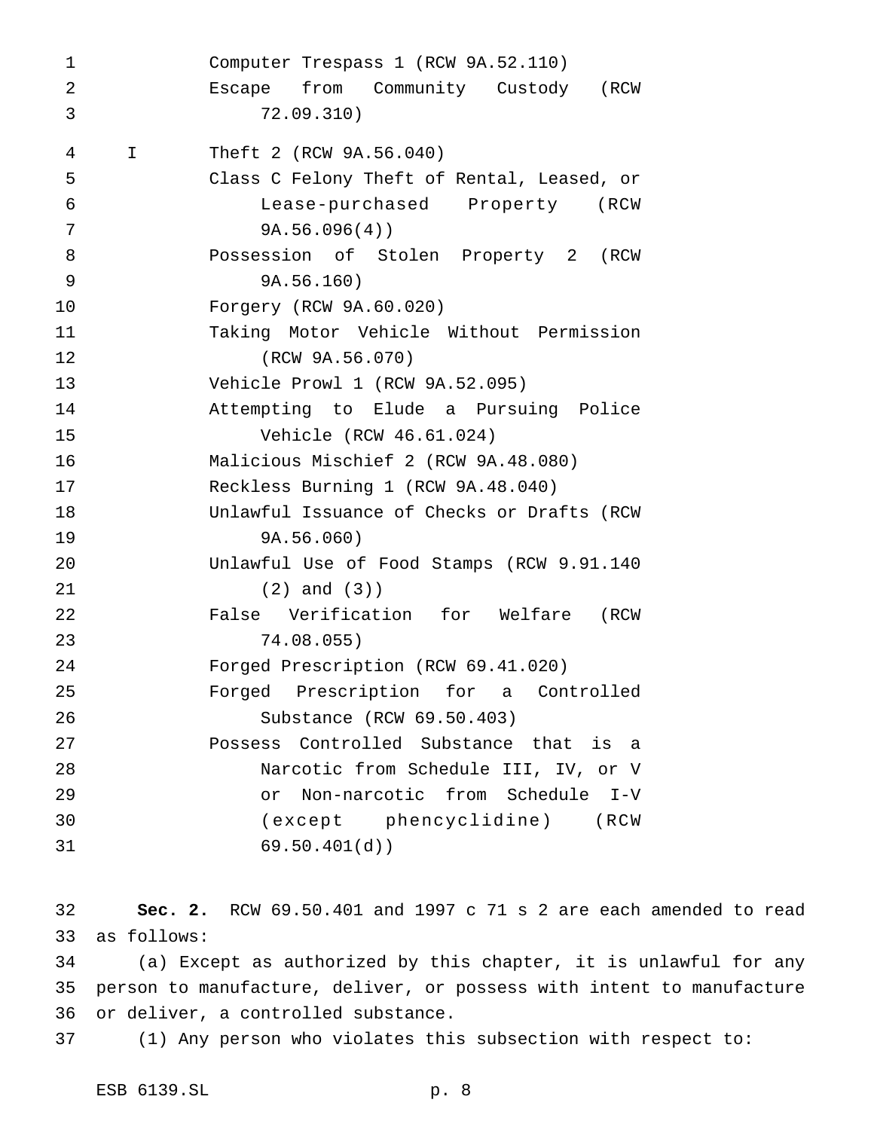Computer Trespass 1 (RCW 9A.52.110) Escape from Community Custody (RCW 72.09.310) I Theft 2 (RCW 9A.56.040) Class C Felony Theft of Rental, Leased, or Lease-purchased Property (RCW 9A.56.096(4)) Possession of Stolen Property 2 (RCW 9A.56.160) Forgery (RCW 9A.60.020) Taking Motor Vehicle Without Permission (RCW 9A.56.070) Vehicle Prowl 1 (RCW 9A.52.095) Attempting to Elude a Pursuing Police Vehicle (RCW 46.61.024) Malicious Mischief 2 (RCW 9A.48.080) Reckless Burning 1 (RCW 9A.48.040) Unlawful Issuance of Checks or Drafts (RCW 9A.56.060) Unlawful Use of Food Stamps (RCW 9.91.140 (2) and (3)) False Verification for Welfare (RCW 74.08.055) Forged Prescription (RCW 69.41.020) Forged Prescription for a Controlled Substance (RCW 69.50.403) Possess Controlled Substance that is a Narcotic from Schedule III, IV, or V or Non-narcotic from Schedule I-V (except phencyclidine) (RCW 69.50.401(d))

 **Sec. 2.** RCW 69.50.401 and 1997 c 71 s 2 are each amended to read as follows:

 (a) Except as authorized by this chapter, it is unlawful for any person to manufacture, deliver, or possess with intent to manufacture or deliver, a controlled substance.

(1) Any person who violates this subsection with respect to: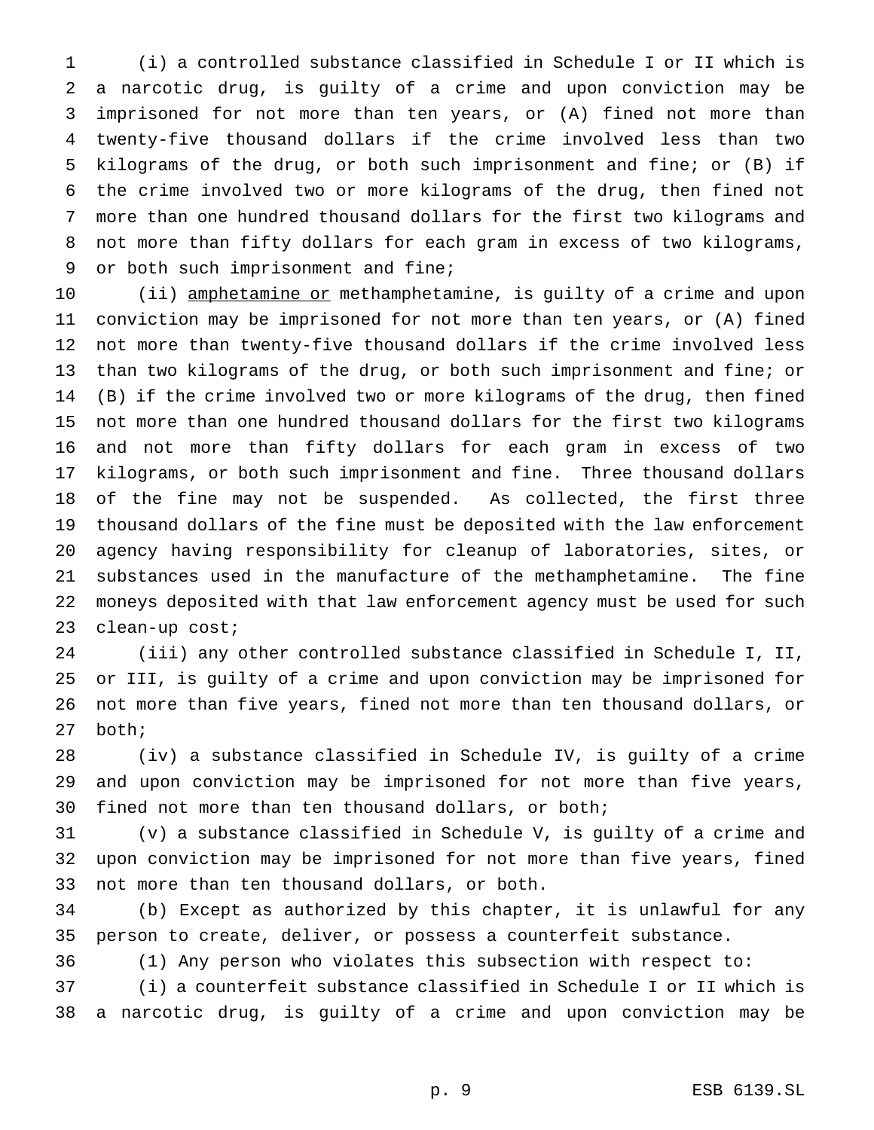(i) a controlled substance classified in Schedule I or II which is a narcotic drug, is guilty of a crime and upon conviction may be imprisoned for not more than ten years, or (A) fined not more than twenty-five thousand dollars if the crime involved less than two kilograms of the drug, or both such imprisonment and fine; or (B) if the crime involved two or more kilograms of the drug, then fined not more than one hundred thousand dollars for the first two kilograms and not more than fifty dollars for each gram in excess of two kilograms, or both such imprisonment and fine;

10 (ii) amphetamine or methamphetamine, is guilty of a crime and upon conviction may be imprisoned for not more than ten years, or (A) fined not more than twenty-five thousand dollars if the crime involved less than two kilograms of the drug, or both such imprisonment and fine; or (B) if the crime involved two or more kilograms of the drug, then fined not more than one hundred thousand dollars for the first two kilograms and not more than fifty dollars for each gram in excess of two kilograms, or both such imprisonment and fine. Three thousand dollars of the fine may not be suspended. As collected, the first three thousand dollars of the fine must be deposited with the law enforcement agency having responsibility for cleanup of laboratories, sites, or substances used in the manufacture of the methamphetamine. The fine moneys deposited with that law enforcement agency must be used for such clean-up cost;

 (iii) any other controlled substance classified in Schedule I, II, or III, is guilty of a crime and upon conviction may be imprisoned for not more than five years, fined not more than ten thousand dollars, or both;

 (iv) a substance classified in Schedule IV, is guilty of a crime and upon conviction may be imprisoned for not more than five years, fined not more than ten thousand dollars, or both;

 (v) a substance classified in Schedule V, is guilty of a crime and upon conviction may be imprisoned for not more than five years, fined not more than ten thousand dollars, or both.

 (b) Except as authorized by this chapter, it is unlawful for any person to create, deliver, or possess a counterfeit substance.

(1) Any person who violates this subsection with respect to:

 (i) a counterfeit substance classified in Schedule I or II which is a narcotic drug, is guilty of a crime and upon conviction may be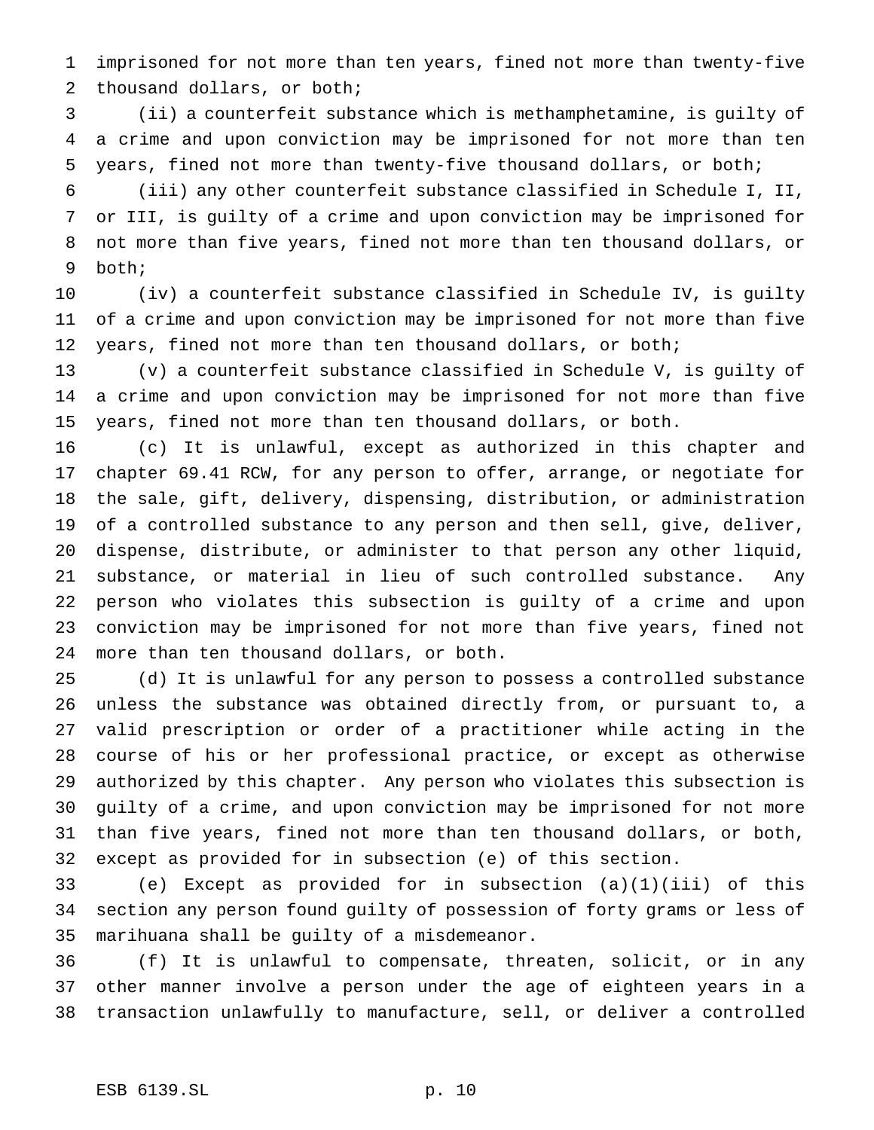imprisoned for not more than ten years, fined not more than twenty-five thousand dollars, or both;

 (ii) a counterfeit substance which is methamphetamine, is guilty of a crime and upon conviction may be imprisoned for not more than ten years, fined not more than twenty-five thousand dollars, or both;

 (iii) any other counterfeit substance classified in Schedule I, II, or III, is guilty of a crime and upon conviction may be imprisoned for not more than five years, fined not more than ten thousand dollars, or both;

 (iv) a counterfeit substance classified in Schedule IV, is guilty of a crime and upon conviction may be imprisoned for not more than five years, fined not more than ten thousand dollars, or both;

 (v) a counterfeit substance classified in Schedule V, is guilty of a crime and upon conviction may be imprisoned for not more than five years, fined not more than ten thousand dollars, or both.

 (c) It is unlawful, except as authorized in this chapter and chapter 69.41 RCW, for any person to offer, arrange, or negotiate for the sale, gift, delivery, dispensing, distribution, or administration of a controlled substance to any person and then sell, give, deliver, dispense, distribute, or administer to that person any other liquid, substance, or material in lieu of such controlled substance. Any person who violates this subsection is guilty of a crime and upon conviction may be imprisoned for not more than five years, fined not more than ten thousand dollars, or both.

 (d) It is unlawful for any person to possess a controlled substance unless the substance was obtained directly from, or pursuant to, a valid prescription or order of a practitioner while acting in the course of his or her professional practice, or except as otherwise authorized by this chapter. Any person who violates this subsection is guilty of a crime, and upon conviction may be imprisoned for not more than five years, fined not more than ten thousand dollars, or both, except as provided for in subsection (e) of this section.

 (e) Except as provided for in subsection (a)(1)(iii) of this section any person found guilty of possession of forty grams or less of marihuana shall be guilty of a misdemeanor.

 (f) It is unlawful to compensate, threaten, solicit, or in any other manner involve a person under the age of eighteen years in a transaction unlawfully to manufacture, sell, or deliver a controlled

### ESB 6139.SL p. 10